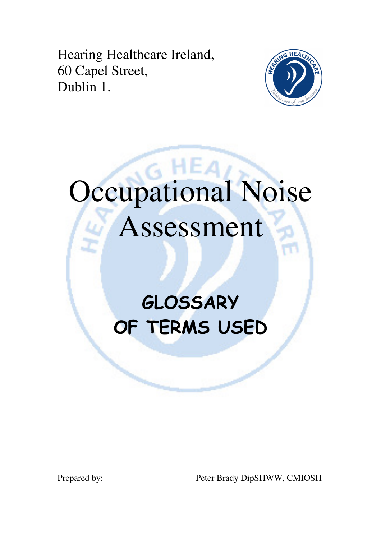Hearing Healthcare Ireland, 60 Capel Street, Dublin 1.



# Occupational Noise Assessment

# **GLOSSARY** OF TERMS USED

Prepared by: Peter Brady DipSHWW, CMIOSH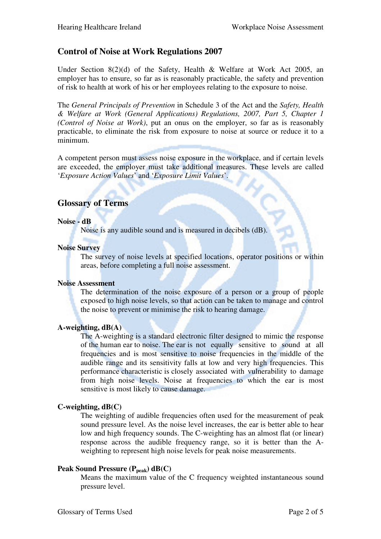# **Control of Noise at Work Regulations 2007**

Under Section 8(2)(d) of the Safety, Health & Welfare at Work Act 2005, an employer has to ensure, so far as is reasonably practicable, the safety and prevention of risk to health at work of his or her employees relating to the exposure to noise.

The *General Principals of Prevention* in Schedule 3 of the Act and the *Safety, Health & Welfare at Work (General Applications) Regulations, 2007, Part 5, Chapter 1 (Control of Noise at Work)*, put an onus on the employer, so far as is reasonably practicable, to eliminate the risk from exposure to noise at source or reduce it to a minimum.

A competent person must assess noise exposure in the workplace, and if certain levels are exceeded, the employer must take additional measures. These levels are called '*Exposure Action Values*' and '*Exposure Limit Values*'.

### **Glossary of Terms**

#### **Noise - dB**

Noise is any audible sound and is measured in decibels (dB).

#### **Noise Survey**

 The survey of noise levels at specified locations, operator positions or within areas, before completing a full noise assessment.

#### **Noise Assessment**

 The determination of the noise exposure of a person or a group of people exposed to high noise levels, so that action can be taken to manage and control the noise to prevent or minimise the risk to hearing damage.

#### **A-weighting, dB(A)**

 The A-weighting is a standard electronic filter designed to mimic the response of the human ear to noise. The ear is not equally sensitive to sound at all frequencies and is most sensitive to noise frequencies in the middle of the audible range and its sensitivity falls at low and very high frequencies. This performance characteristic is closely associated with vulnerability to damage from high noise levels. Noise at frequencies to which the ear is most sensitive is most likely to cause damage.

#### **C-weighting, dB(C)**

 The weighting of audible frequencies often used for the measurement of peak sound pressure level. As the noise level increases, the ear is better able to hear low and high frequency sounds. The C-weighting has an almost flat (or linear) response across the audible frequency range, so it is better than the A weighting to represent high noise levels for peak noise measurements.

#### **Peak Sound Pressure (Ppeak) dB(C)**

 Means the maximum value of the C frequency weighted instantaneous sound pressure level.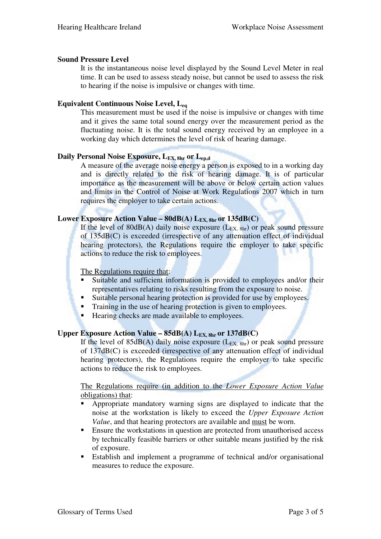#### **Sound Pressure Level**

 It is the instantaneous noise level displayed by the Sound Level Meter in real time. It can be used to assess steady noise, but cannot be used to assess the risk to hearing if the noise is impulsive or changes with time.

#### **Equivalent Continuous Noise Level, Leq**

 This measurement must be used if the noise is impulsive or changes with time and it gives the same total sound energy over the measurement period as the fluctuating noise. It is the total sound energy received by an employee in a working day which determines the level of risk of hearing damage.

#### **Daily Personal Noise Exposure, LEX, 8hr or Lep,d**

 A measure of the average noise energy a person is exposed to in a working day and is directly related to the risk of hearing damage. It is of particular importance as the measurement will be above or below certain action values and limits in the Control of Noise at Work Regulations 2007 which in turn requires the employer to take certain actions.

#### **Lower Exposure Action Value – 80dB(A) LEX, 8hr or 135dB(C)**

If the level of 80dB(A) daily noise exposure  $(L_{EX, 8hr})$  or peak sound pressure of 135dB(C) is exceeded (irrespective of any attenuation effect of individual hearing protectors), the Regulations require the employer to take specific actions to reduce the risk to employees.

#### The Regulations require that:

- Suitable and sufficient information is provided to employees and/or their representatives relating to risks resulting from the exposure to noise.
- Suitable personal hearing protection is provided for use by employees.
- Training in the use of hearing protection is given to employees.
- Hearing checks are made available to employees.

#### **Upper Exposure Action Value –**  $85dB(A)$  **L<sub>EX, 8hr</sub> or**  $137dB(C)$

If the level of  $85dB(A)$  daily noise exposure ( $L_{EX, 8hr}$ ) or peak sound pressure of 137dB(C) is exceeded (irrespective of any attenuation effect of individual hearing protectors), the Regulations require the employer to take specific actions to reduce the risk to employees.

 The Regulations require (in addition to the *Lower Exposure Action Value*  obligations) that:

- Appropriate mandatory warning signs are displayed to indicate that the noise at the workstation is likely to exceed the *Upper Exposure Action Value*, and that hearing protectors are available and must be worn.
- **Ensure the workstations in question are protected from unauthorised access** by technically feasible barriers or other suitable means justified by the risk of exposure.
- Establish and implement a programme of technical and/or organisational measures to reduce the exposure.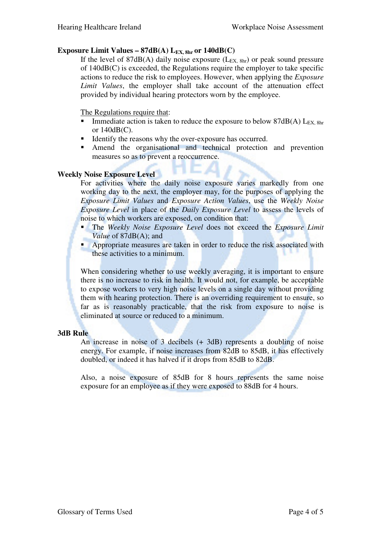#### **Exposure Limit Values –**  $87dB(A)$  **L<sub>EX, 8hr</sub> or 140dB(C)**

If the level of 87dB(A) daily noise exposure  $(L_{EX, 8hr})$  or peak sound pressure of 140dB(C) is exceeded, the Regulations require the employer to take specific actions to reduce the risk to employees. However, when applying the *Exposure Limit Values*, the employer shall take account of the attenuation effect provided by individual hearing protectors worn by the employee.

The Regulations require that:

- Immediate action is taken to reduce the exposure to below  $87dB(A)$  L<sub>EX, 8hr</sub> or 140dB(C).
- Identify the reasons why the over-exposure has occurred.
- Amend the organisational and technical protection and prevention measures so as to prevent a reoccurrence.

#### **Weekly Noise Exposure Level**

For activities where the daily noise exposure varies markedly from one working day to the next, the employer may, for the purposes of applying the *Exposure Limit Values* and *Exposure Action Values*, use the *Weekly Noise Exposure Level* in place of the *Daily Exposure Level* to assess the levels of noise to which workers are exposed, on condition that:

- The *Weekly Noise Exposure Level* does not exceed the *Exposure Limit Value* of 87dB(A); and
- **•** Appropriate measures are taken in order to reduce the risk associated with these activities to a minimum.

When considering whether to use weekly averaging, it is important to ensure there is no increase to risk in health. It would not, for example, be acceptable to expose workers to very high noise levels on a single day without providing them with hearing protection. There is an overriding requirement to ensure, so far as is reasonably practicable, that the risk from exposure to noise is eliminated at source or reduced to a minimum.

#### **3dB Rule**

 An increase in noise of 3 decibels (+ 3dB) represents a doubling of noise energy. For example, if noise increases from 82dB to 85dB, it has effectively doubled, or indeed it has halved if it drops from 85dB to 82dB.

 Also, a noise exposure of 85dB for 8 hours represents the same noise exposure for an employee as if they were exposed to 88dB for 4 hours.